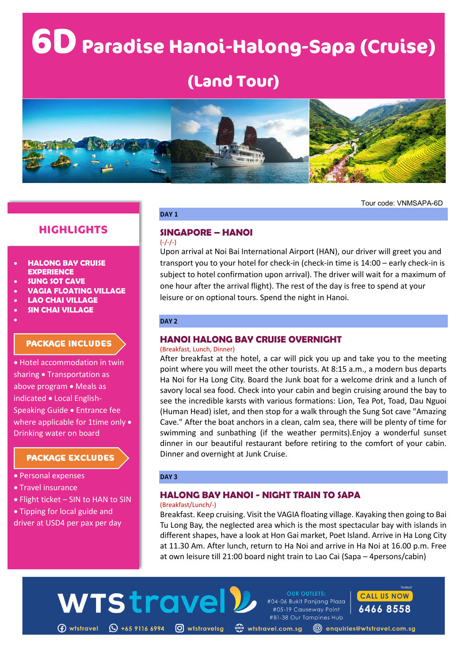# **6DParadise Hanoi-Halong-Sapa (Cruise)**

# **(Land Tour)**



Tour code: VNMSAPA-6D

# **HIGHLIGHTS**

### • **HALONG BAY CRUISE EXPERIENCE**

- **SUNG SOT CAVE**
- **VAGIA FLOATING VILLAGE**
- **LAO CHAI VILLAGE**
- **SIN CHAI VILLAGE**

•

# **PACKAGE INCLUDES**

• Hotel accommodation in twin sharing • Transportation as above program • Meals as indicated • Local English-Speaking Guide • Entrance fee where applicable for 1time only • Drinking water on board

# **PACKAGE EXCLUDES**

- Personal expenses
- Travel insurance
- Flight ticket SIN to HAN to SIN
- Tipping for local guide and
- driver at USD4 per pax per day

# **DAY 1**

#### **SINGAPORE – HANOI**  $(-/-/-)$

Upon arrival at Noi Bai International Airport (HAN), our driver will greet you and transport you to your hotel for check-in (check-in time is 14:00 – early check-in is subject to hotel confirmation upon arrival). The driver will wait for a maximum of one hour after the arrival flight). The rest of the day is free to spend at your leisure or on optional tours. Spend the night in Hanoi.

## **DAY 2**

# **HANOI HALONG BAY CRUISE OVERNIGHT**

#### (Breakfast, Lunch, Dinner)

After breakfast at the hotel, a car will pick you up and take you to the meeting point where you will meet the other tourists. At 8:15 a.m., a modern bus departs Ha Noi for Ha Long City. Board the Junk boat for a welcome drink and a lunch of savory local sea food. Check into your cabin and begin cruising around the bay to see the incredible karsts with various formations: Lion, Tea Pot, Toad, Dau Nguoi (Human Head) islet, and then stop for a walk through the Sung Sot cave "Amazing Cave." After the boat anchors in a clean, calm sea, there will be plenty of time for swimming and sunbathing (if the weather permits).Enjoy a wonderful sunset dinner in our beautiful restaurant before retiring to the comfort of your cabin. Dinner and overnight at Junk Cruise.

### **DAY 3**

**WTStrave** 

# **HALONG BAY HANOI - NIGHT TRAIN TO SAPA**

### (Breakfast/Lunch/-)

Breakfast. Keep cruising. Visit the VAGIA floating village. Kayaking then going to Bai Tu Long Bay, the neglected area which is the most spectacular bay with islands in different shapes, have a look at Hon Gai market, Poet Island. Arrive in Ha Long City at 11.30 Am. After lunch, return to Ha Noi and arrive in Ha Noi at 16.00 p.m. Free at own leisure till 21:00 board night train to Lao Cai (Sapa – 4persons/cabin)

**OUR OUTLETS:** 

#04-06 Bukit Panjang Plaza

#05-19 Causeway Point

(f) wtstravel © +65 9116 6994 © wtstravelsg «www.tstravel.com.sg © enquiries@wtstravel.com.sg

#B1-38 Our Tampines Hub

**CALL US NOW** 

6466 8558